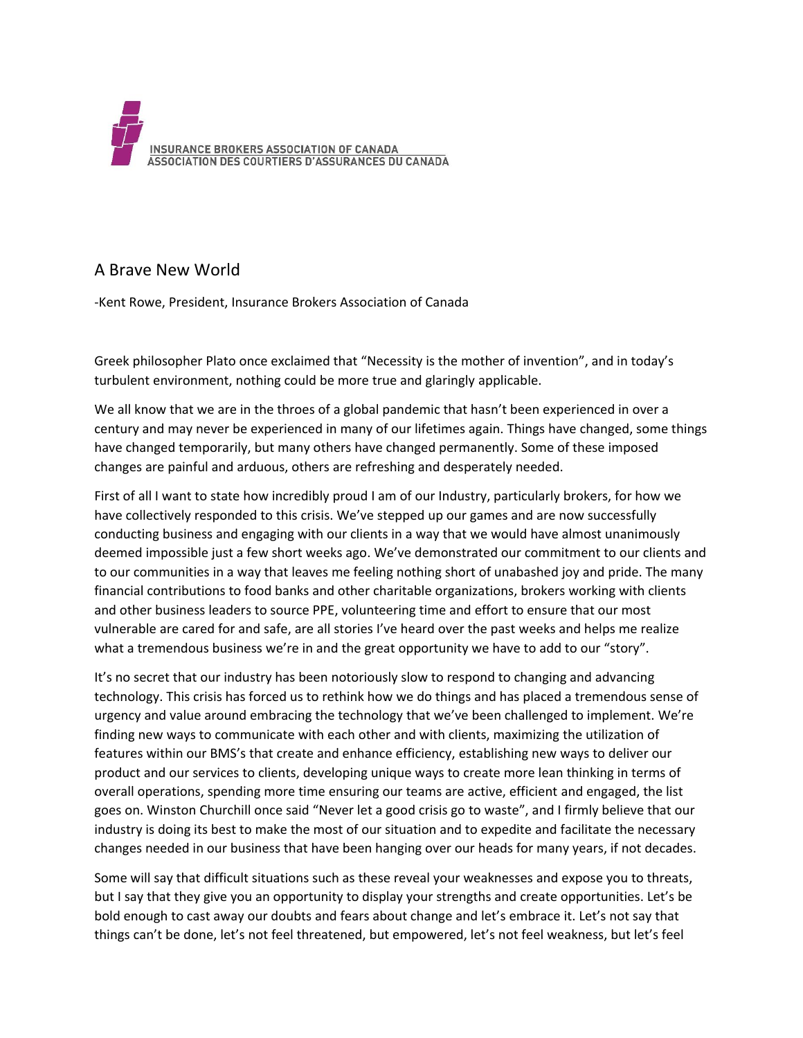

## A Brave New World

-Kent Rowe, President, Insurance Brokers Association of Canada

Greek philosopher Plato once exclaimed that "Necessity is the mother of invention", and in today's turbulent environment, nothing could be more true and glaringly applicable.

We all know that we are in the throes of a global pandemic that hasn't been experienced in over a century and may never be experienced in many of our lifetimes again. Things have changed, some things have changed temporarily, but many others have changed permanently. Some of these imposed changes are painful and arduous, others are refreshing and desperately needed.

First of all I want to state how incredibly proud I am of our Industry, particularly brokers, for how we have collectively responded to this crisis. We've stepped up our games and are now successfully conducting business and engaging with our clients in a way that we would have almost unanimously deemed impossible just a few short weeks ago. We've demonstrated our commitment to our clients and to our communities in a way that leaves me feeling nothing short of unabashed joy and pride. The many financial contributions to food banks and other charitable organizations, brokers working with clients and other business leaders to source PPE, volunteering time and effort to ensure that our most vulnerable are cared for and safe, are all stories I've heard over the past weeks and helps me realize what a tremendous business we're in and the great opportunity we have to add to our "story".

It's no secret that our industry has been notoriously slow to respond to changing and advancing technology. This crisis has forced us to rethink how we do things and has placed a tremendous sense of urgency and value around embracing the technology that we've been challenged to implement. We're finding new ways to communicate with each other and with clients, maximizing the utilization of features within our BMS's that create and enhance efficiency, establishing new ways to deliver our product and our services to clients, developing unique ways to create more lean thinking in terms of overall operations, spending more time ensuring our teams are active, efficient and engaged, the list goes on. Winston Churchill once said "Never let a good crisis go to waste", and I firmly believe that our industry is doing its best to make the most of our situation and to expedite and facilitate the necessary changes needed in our business that have been hanging over our heads for many years, if not decades.

Some will say that difficult situations such as these reveal your weaknesses and expose you to threats, but I say that they give you an opportunity to display your strengths and create opportunities. Let's be bold enough to cast away our doubts and fears about change and let's embrace it. Let's not say that things can't be done, let's not feel threatened, but empowered, let's not feel weakness, but let's feel